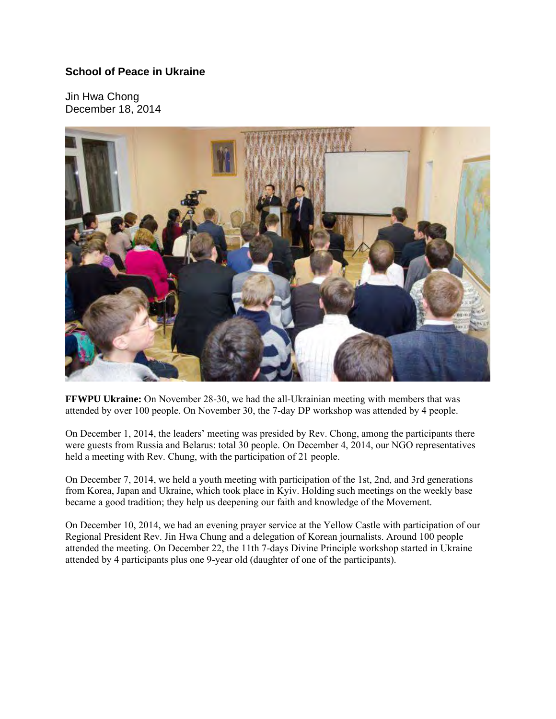## **School of Peace in Ukraine**

Jin Hwa Chong December 18, 2014



**FFWPU Ukraine:** On November 28-30, we had the all-Ukrainian meeting with members that was attended by over 100 people. On November 30, the 7-day DP workshop was attended by 4 people.

On December 1, 2014, the leaders' meeting was presided by Rev. Chong, among the participants there were guests from Russia and Belarus: total 30 people. On December 4, 2014, our NGO representatives held a meeting with Rev. Chung, with the participation of 21 people.

On December 7, 2014, we held a youth meeting with participation of the 1st, 2nd, and 3rd generations from Korea, Japan and Ukraine, which took place in Kyiv. Holding such meetings on the weekly base became a good tradition; they help us deepening our faith and knowledge of the Movement.

On December 10, 2014, we had an evening prayer service at the Yellow Castle with participation of our Regional President Rev. Jin Hwa Chung and a delegation of Korean journalists. Around 100 people attended the meeting. On December 22, the 11th 7-days Divine Principle workshop started in Ukraine attended by 4 participants plus one 9-year old (daughter of one of the participants).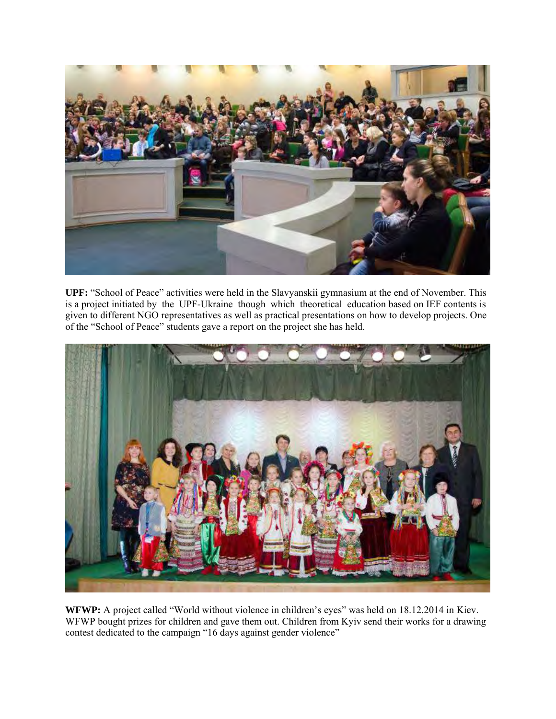

**UPF:** "School of Peace" activities were held in the Slavyanskii gymnasium at the end of November. This is a project initiated by the UPF-Ukraine though which theoretical education based on IEF contents is given to different NGO representatives as well as practical presentations on how to develop projects. One of the "School of Peace" students gave a report on the project she has held.



WFWP: A project called "World without violence in children's eyes" was held on 18.12.2014 in Kiev. WFWP bought prizes for children and gave them out. Children from Kyiv send their works for a drawing contest dedicated to the campaign "16 days against gender violence"